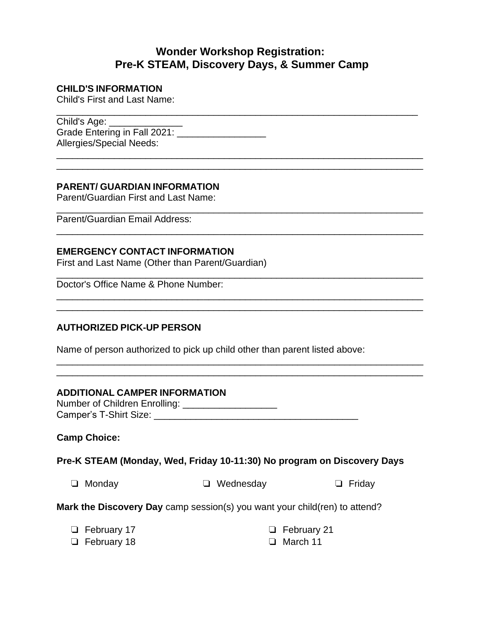# **Wonder Workshop Registration: Pre-K STEAM, Discovery Days, & Summer Camp**

\_\_\_\_\_\_\_\_\_\_\_\_\_\_\_\_\_\_\_\_\_\_\_\_\_\_\_\_\_\_\_\_\_\_\_\_\_\_\_\_\_\_\_\_\_\_\_\_\_\_\_\_\_\_\_\_\_\_\_\_\_\_\_\_\_\_\_\_\_\_ \_\_\_\_\_\_\_\_\_\_\_\_\_\_\_\_\_\_\_\_\_\_\_\_\_\_\_\_\_\_\_\_\_\_\_\_\_\_\_\_\_\_\_\_\_\_\_\_\_\_\_\_\_\_\_\_\_\_\_\_\_\_\_\_\_\_\_\_\_\_

\_\_\_\_\_\_\_\_\_\_\_\_\_\_\_\_\_\_\_\_\_\_\_\_\_\_\_\_\_\_\_\_\_\_\_\_\_\_\_\_\_\_\_\_\_\_\_\_\_\_\_\_\_\_\_\_\_\_\_\_\_\_\_\_\_\_\_\_\_\_

\_\_\_\_\_\_\_\_\_\_\_\_\_\_\_\_\_\_\_\_\_\_\_\_\_\_\_\_\_\_\_\_\_\_\_\_\_\_\_\_\_\_\_\_\_\_\_\_\_\_\_\_\_\_\_\_\_\_\_\_\_\_\_\_\_\_\_\_\_\_

\_\_\_\_\_\_\_\_\_\_\_\_\_\_\_\_\_\_\_\_\_\_\_\_\_\_\_\_\_\_\_\_\_\_\_\_\_\_\_\_\_\_\_\_\_\_\_\_\_\_\_\_\_\_\_\_\_\_\_\_\_\_\_\_\_\_\_\_\_\_

\_\_\_\_\_\_\_\_\_\_\_\_\_\_\_\_\_\_\_\_\_\_\_\_\_\_\_\_\_\_\_\_\_\_\_\_\_\_\_\_\_\_\_\_\_\_\_\_\_\_\_\_\_\_\_\_\_\_\_\_\_\_\_\_\_\_\_\_\_\_

\_\_\_\_\_\_\_\_\_\_\_\_\_\_\_\_\_\_\_\_\_\_\_\_\_\_\_\_\_\_\_\_\_\_\_\_\_\_\_\_\_\_\_\_\_\_\_\_\_\_\_\_\_\_\_\_\_\_\_\_\_\_\_\_\_\_\_\_\_\_ \_\_\_\_\_\_\_\_\_\_\_\_\_\_\_\_\_\_\_\_\_\_\_\_\_\_\_\_\_\_\_\_\_\_\_\_\_\_\_\_\_\_\_\_\_\_\_\_\_\_\_\_\_\_\_\_\_\_\_\_\_\_\_\_\_\_\_\_\_\_

\_\_\_\_\_\_\_\_\_\_\_\_\_\_\_\_\_\_\_\_\_\_\_\_\_\_\_\_\_\_\_\_\_\_\_\_\_\_\_\_\_\_\_\_\_\_\_\_\_\_\_\_\_\_\_\_\_\_\_\_\_\_\_\_\_\_\_\_\_\_

#### **CHILD'S INFORMATION**

Child's First and Last Name:

\_\_\_\_\_\_\_\_\_\_\_\_\_\_\_\_\_\_\_\_\_\_\_\_\_\_\_\_\_\_\_\_\_\_\_\_\_\_\_\_\_\_\_\_\_\_\_\_\_\_\_\_\_\_\_\_\_\_\_\_\_\_\_\_\_\_\_\_\_ Child's Age: Grade Entering in Fall 2021: \_\_\_\_\_\_\_\_\_\_\_\_\_\_\_\_\_ Allergies/Special Needs:

#### **PARENT/ GUARDIAN INFORMATION**

Parent/Guardian First and Last Name:

Parent/Guardian Email Address:

#### **EMERGENCY CONTACT INFORMATION**

First and Last Name (Other than Parent/Guardian)

Doctor's Office Name & Phone Number:

## **AUTHORIZED PICK-UP PERSON**

Name of person authorized to pick up child other than parent listed above:

#### **ADDITIONAL CAMPER INFORMATION**

Number of Children Enrolling: \_\_\_\_\_\_\_\_\_\_\_\_\_\_\_\_\_\_\_\_\_\_ Camper's T-Shirt Size: \_\_\_\_\_\_\_\_\_\_\_\_\_\_\_\_\_\_\_\_\_\_\_\_\_\_\_\_\_\_\_\_\_\_\_\_\_\_\_

#### **Camp Choice:**

#### **Pre-K STEAM (Monday, Wed, Friday 10-11:30) No program on Discovery Days**

| $\Box$ Monday | $\Box$ Wednesday | $\Box$ Friday |
|---------------|------------------|---------------|
|               |                  |               |

**Mark the Discovery Day** camp session(s) you want your child(ren) to attend?

| □ February 17 | $\Box$ February 21 |
|---------------|--------------------|
| □ February 18 | $\Box$ March 11    |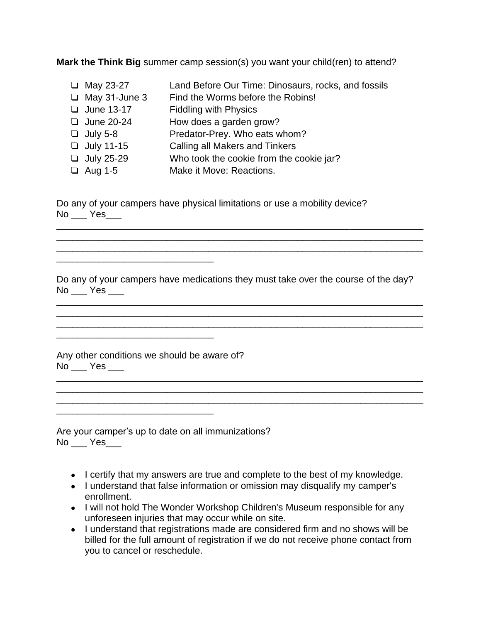**Mark the Think Big** summer camp session(s) you want your child(ren) to attend?

Land Before Our Time: Dinosaurs, rocks, and fossils Find the Worms before the Robins! Fiddling with Physics How does a garden grow? Predator-Prey. Who eats whom? Calling all Makers and Tinkers Who took the cookie from the cookie jar? ❏ May 23-27 ❏ May 31-June 3 ❏ June 13-17 ❏ June 20-24 ❏ July 5-8 ❏ July 11-15 ❏ July 25-29 ❏ Aug 1-5 Make it Move: Reactions.

Do any of your campers have physical limitations or use a mobility device?  $No$   $Yes$ 

Do any of your campers have medications they must take over the course of the day? No \_\_\_ Yes \_\_\_

\_\_\_\_\_\_\_\_\_\_\_\_\_\_\_\_\_\_\_\_\_\_\_\_\_\_\_\_\_\_\_\_\_\_\_\_\_\_\_\_\_\_\_\_\_\_\_\_\_\_\_\_\_\_\_\_\_\_\_\_\_\_\_\_\_\_\_\_\_\_ \_\_\_\_\_\_\_\_\_\_\_\_\_\_\_\_\_\_\_\_\_\_\_\_\_\_\_\_\_\_\_\_\_\_\_\_\_\_\_\_\_\_\_\_\_\_\_\_\_\_\_\_\_\_\_\_\_\_\_\_\_\_\_\_\_\_\_\_\_\_ \_\_\_\_\_\_\_\_\_\_\_\_\_\_\_\_\_\_\_\_\_\_\_\_\_\_\_\_\_\_\_\_\_\_\_\_\_\_\_\_\_\_\_\_\_\_\_\_\_\_\_\_\_\_\_\_\_\_\_\_\_\_\_\_\_\_\_\_\_\_

\_\_\_\_\_\_\_\_\_\_\_\_\_\_\_\_\_\_\_\_\_\_\_\_\_\_\_\_\_\_\_\_\_\_\_\_\_\_\_\_\_\_\_\_\_\_\_\_\_\_\_\_\_\_\_\_\_\_\_\_\_\_\_\_\_\_\_\_\_\_ \_\_\_\_\_\_\_\_\_\_\_\_\_\_\_\_\_\_\_\_\_\_\_\_\_\_\_\_\_\_\_\_\_\_\_\_\_\_\_\_\_\_\_\_\_\_\_\_\_\_\_\_\_\_\_\_\_\_\_\_\_\_\_\_\_\_\_\_\_\_

\_\_\_\_\_\_\_\_\_\_\_\_\_\_\_\_\_\_\_\_\_\_\_\_\_\_\_\_\_\_\_\_\_\_\_\_\_\_\_\_\_\_\_\_\_\_\_\_\_\_\_\_\_\_\_\_\_\_\_\_\_\_\_\_\_\_\_\_\_\_ \_\_\_\_\_\_\_\_\_\_\_\_\_\_\_\_\_\_\_\_\_\_\_\_\_\_\_\_\_\_\_\_\_\_\_\_\_\_\_\_\_\_\_\_\_\_\_\_\_\_\_\_\_\_\_\_\_\_\_\_\_\_\_\_\_\_\_\_\_\_ \_\_\_\_\_\_\_\_\_\_\_\_\_\_\_\_\_\_\_\_\_\_\_\_\_\_\_\_\_\_\_\_\_\_\_\_\_\_\_\_\_\_\_\_\_\_\_\_\_\_\_\_\_\_\_\_\_\_\_\_\_\_\_\_\_\_\_\_\_\_

Any other conditions we should be aware of? No \_\_\_ Yes \_\_\_ \_\_\_\_\_\_\_\_\_\_\_\_\_\_\_\_\_\_\_\_\_\_\_\_\_\_\_\_\_\_\_\_\_\_\_\_\_\_\_\_\_\_\_\_\_\_\_\_\_\_\_\_\_\_\_\_\_\_\_\_\_\_\_\_\_\_\_\_\_\_

\_\_\_\_\_\_\_\_\_\_\_\_\_\_\_\_\_\_\_\_\_\_\_\_\_\_\_\_\_\_

\_\_\_\_\_\_\_\_\_\_\_\_\_\_\_\_\_\_\_\_\_\_\_\_\_\_\_\_\_\_

Are your camper's up to date on all immunizations? No \_\_\_ Yes\_\_\_

- I certify that my answers are true and complete to the best of my knowledge.
- I understand that false information or omission may disqualify my camper's enrollment.
- I will not hold The Wonder Workshop Children's Museum responsible for any unforeseen injuries that may occur while on site.
- I understand that registrations made are considered firm and no shows will be billed for the full amount of registration if we do not receive phone contact from you to cancel or reschedule.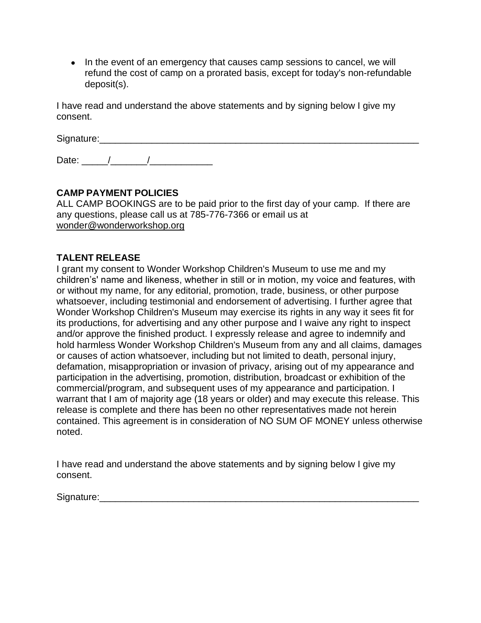• In the event of an emergency that causes camp sessions to cancel, we will refund the cost of camp on a prorated basis, except for today's non-refundable deposit(s).

I have read and understand the above statements and by signing below I give my consent.

Signature:

Date:  $\qquad$  /  $\qquad$  /

# **CAMP PAYMENT POLICIES**

ALL CAMP BOOKINGS are to be paid prior to the first day of your camp. If there are any questions, please call us at 785-776-7366 or email us at [wonder@wonderworkshop.org](mailto:wonder@wonderworkshop.org)

## **TALENT RELEASE**

I grant my consent to Wonder Workshop Children's Museum to use me and my children's' name and likeness, whether in still or in motion, my voice and features, with or without my name, for any editorial, promotion, trade, business, or other purpose whatsoever, including testimonial and endorsement of advertising. I further agree that Wonder Workshop Children's Museum may exercise its rights in any way it sees fit for its productions, for advertising and any other purpose and I waive any right to inspect and/or approve the finished product. I expressly release and agree to indemnify and hold harmless Wonder Workshop Children's Museum from any and all claims, damages or causes of action whatsoever, including but not limited to death, personal injury, defamation, misappropriation or invasion of privacy, arising out of my appearance and participation in the advertising, promotion, distribution, broadcast or exhibition of the commercial/program, and subsequent uses of my appearance and participation. I warrant that I am of majority age (18 years or older) and may execute this release. This release is complete and there has been no other representatives made not herein contained. This agreement is in consideration of NO SUM OF MONEY unless otherwise noted.

I have read and understand the above statements and by signing below I give my consent.

Signature:\_\_\_\_\_\_\_\_\_\_\_\_\_\_\_\_\_\_\_\_\_\_\_\_\_\_\_\_\_\_\_\_\_\_\_\_\_\_\_\_\_\_\_\_\_\_\_\_\_\_\_\_\_\_\_\_\_\_\_\_\_